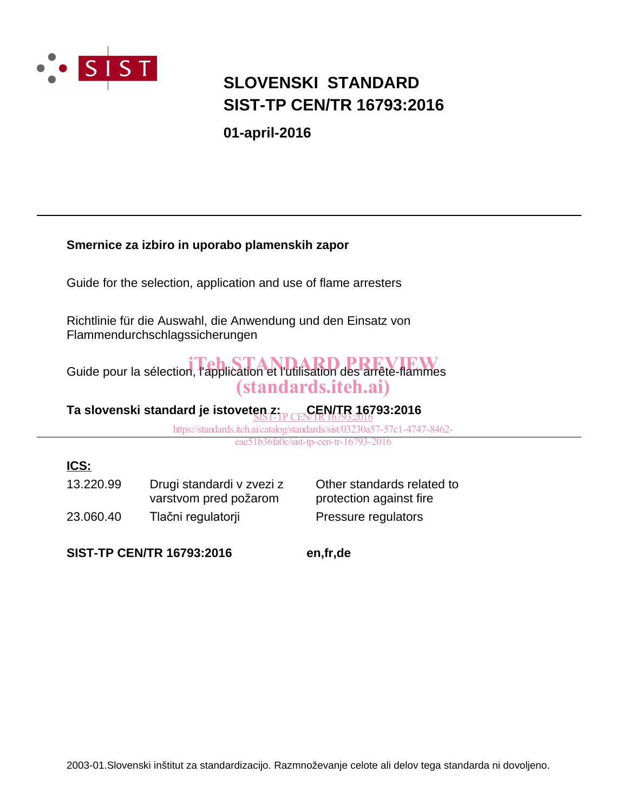

## **SIST-TP CEN/TR 16793:2016 SLOVENSKI STANDARD**

**01-april-2016**

| Smernice za izbiro in uporabo plamenskih zapor |  |  |  |  |  |
|------------------------------------------------|--|--|--|--|--|
|------------------------------------------------|--|--|--|--|--|

Guide for the selection, application and use of flame arresters

Richtlinie für die Auswahl, die Anwendung und den Einsatz von Flammendurchschlagssicherungen

Guide pour la sélection, l'application et l'utilisation des arrête-flammes (standards.iteh.ai)

**Ta slovenski standard je istoveten z:** CEN/TR 16793:2016

> https://standards.iteh.ai/catalog/standards/sist/03230a57-57c1-4747-8462 eae51b36fa0c/sist-tp-cen-tr-16793-2016

## **ICS:**

23.060.40 Tlačni regulatorji Pressure regulators 13.220.99 Drugi standardi v zvezi z varstvom pred požarom Other standards related to protection against fire

**SIST-TP CEN/TR 16793:2016 en,fr,de**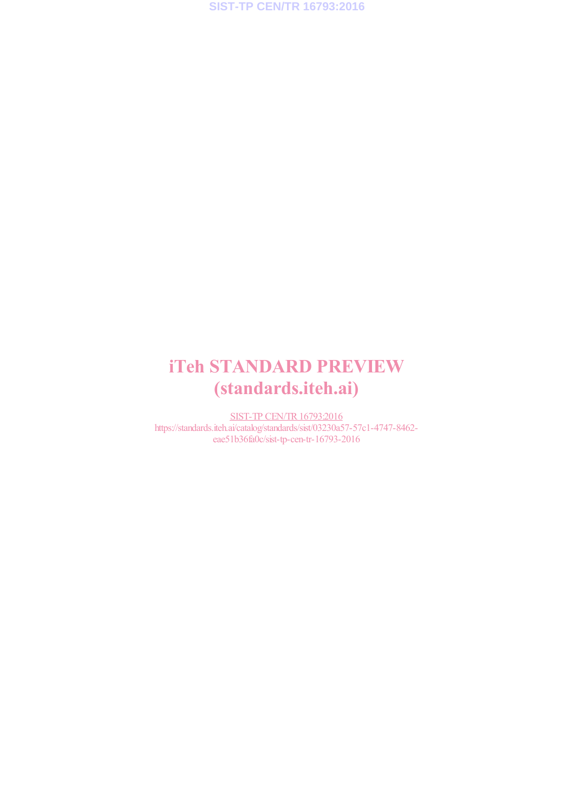# iTeh STANDARD PREVIEW (standards.iteh.ai)

SIST-TP CEN/TR 16793:2016 https://standards.iteh.ai/catalog/standards/sist/03230a57-57c1-4747-8462 eae51b36fa0c/sist-tp-cen-tr-16793-2016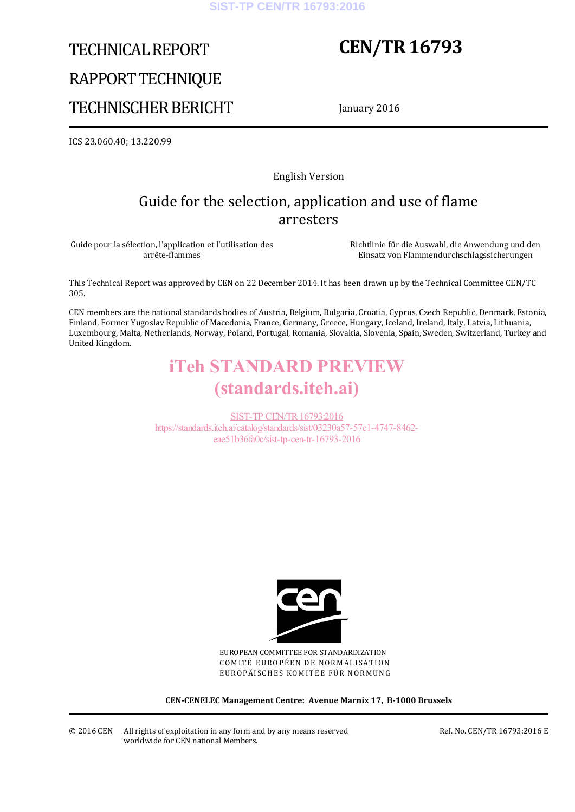# TECHNICAL REPORT RAPPORT TECHNIQUE TECHNISCHER BERICHT

# **CEN/TR 16793**

January 2016

ICS 23.060.40; 13.220.99

English Version

## Guide for the selection, application and use of flame arresters

Guide pour la sélection, l'application et l'utilisation des arrête-flammes

 Richtlinie für die Auswahl, die Anwendung und den Einsatz von Flammendurchschlagssicherungen

This Technical Report was approved by CEN on 22 December 2014. It has been drawn up by the Technical Committee CEN/TC 305.

CEN members are the national standards bodies of Austria, Belgium, Bulgaria, Croatia, Cyprus, Czech Republic, Denmark, Estonia, Finland, Former Yugoslav Republic of Macedonia, France, Germany, Greece, Hungary, Iceland, Ireland, Italy, Latvia, Lithuania, Luxembourg, Malta, Netherlands, Norway, Poland, Portugal, Romania, Slovakia, Slovenia, Spain, Sweden, Switzerland, Turkey and United Kingdom.

## iTeh STANDARD PREVIEW (standards.iteh.ai)

SIST-TP CEN/TR16793:2016 https://standards.iteh.ai/catalog/standards/sist/03230a57-57c1-4747-8462 eae51b36fa0c/sist-tp-cen-tr-16793-2016



EUROPEAN COMMITTEE FOR STANDARDIZATION COMITÉ EUROPÉEN DE NORMALISATION EUROPÄISCHES KOMITEE FÜR NORMUNG

**CEN-CENELEC Management Centre: Avenue Marnix 17, B-1000 Brussels** 

© 2016 CEN All rights of exploitation in any form and by any means reserved worldwide for CEN national Members.

Ref. No. CEN/TR 16793:2016 E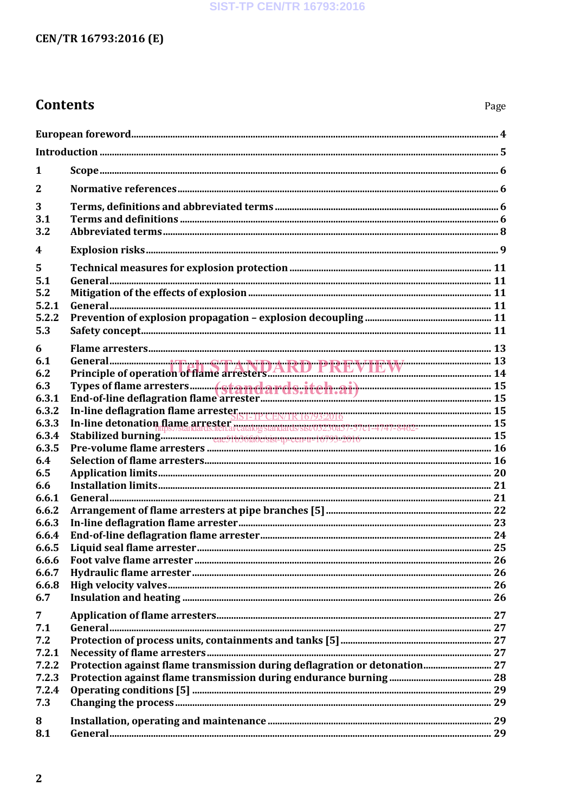## **SIST-TP CEN/TR 16793:2016**

## CEN/TR 16793:2016 (E)

## **Contents**

| 1              |                                                                            |  |
|----------------|----------------------------------------------------------------------------|--|
| $\overline{2}$ |                                                                            |  |
| 3              |                                                                            |  |
| 3.1<br>3.2     |                                                                            |  |
| 4              |                                                                            |  |
| 5              |                                                                            |  |
| 5.1            |                                                                            |  |
| 5.2            |                                                                            |  |
| 5.2.1          |                                                                            |  |
| 5.2.2          |                                                                            |  |
| 5.3            |                                                                            |  |
| 6              |                                                                            |  |
| 6.1            |                                                                            |  |
| 6.2            |                                                                            |  |
| 6.3            |                                                                            |  |
| 6.3.1          |                                                                            |  |
| 6.3.2          |                                                                            |  |
| 6.3.3          | In-line deflagration flame arrester<br>SIST-TPUEN/IRT6793:2016             |  |
| 6.3.4          | In-line detonation flame arrester National District Leavelly 10/23.2010    |  |
| 6.3.5          |                                                                            |  |
| 6.4            |                                                                            |  |
| 6.5            |                                                                            |  |
| 6.6            |                                                                            |  |
| 6.6.1          |                                                                            |  |
| 6.6.2          |                                                                            |  |
|                |                                                                            |  |
| 6.6.3          |                                                                            |  |
| 6.6.4          |                                                                            |  |
| 6.6.5          |                                                                            |  |
| 6.6.6          |                                                                            |  |
| 6.6.7          |                                                                            |  |
| 6.6.8          |                                                                            |  |
| 6.7            |                                                                            |  |
| 7              |                                                                            |  |
| 7.1            |                                                                            |  |
| 7.2            |                                                                            |  |
| 7.2.1          |                                                                            |  |
| 7.2.2          | Protection against flame transmission during deflagration or detonation 27 |  |
| 7.2.3          |                                                                            |  |
| 7.2.4          |                                                                            |  |
| 7.3            |                                                                            |  |
| 8              |                                                                            |  |
| 8.1            |                                                                            |  |
|                |                                                                            |  |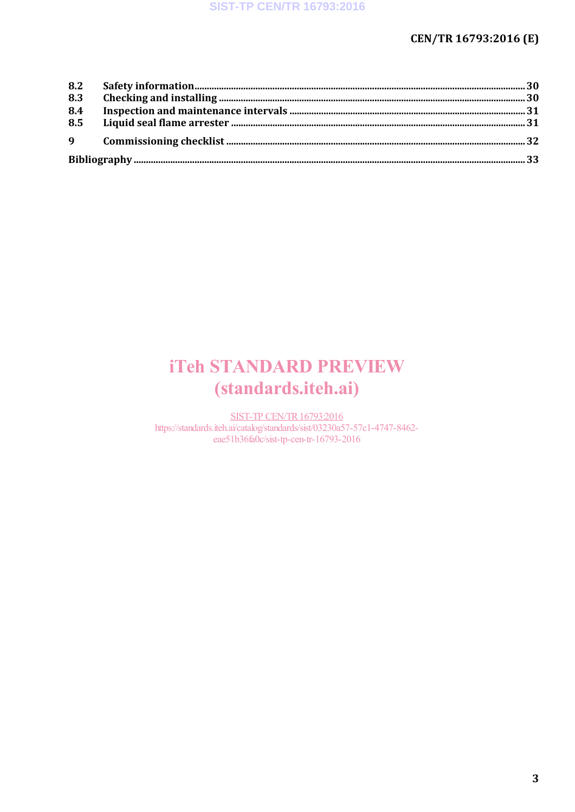| 8.3 |  |
|-----|--|
| 8.4 |  |
| 8.5 |  |
|     |  |
|     |  |

# **iTeh STANDARD PREVIEW** (standards.iteh.ai)

**SIST-TP CEN/TR 16793:2016** https://standards.iteh.ai/catalog/standards/sist/03230a57-57c1-4747-8462eae51b36fa0c/sist-tp-cen-tr-16793-2016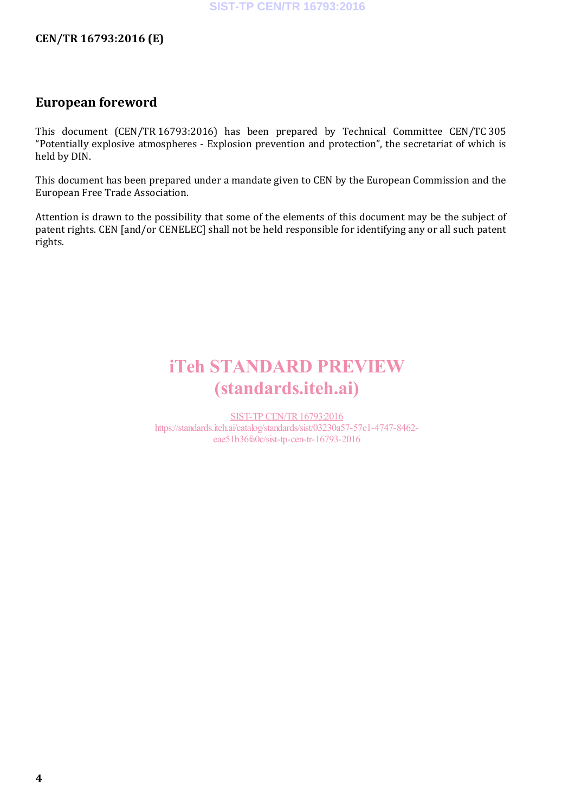## **European foreword**

This document (CEN/TR 16793:2016) has been prepared by Technical Committee CEN/TC 305 "Potentially explosive atmospheres - Explosion prevention and protection", the secretariat of which is held by DIN.

This document has been prepared under a mandate given to CEN by the European Commission and the European Free Trade Association.

Attention is drawn to the possibility that some of the elements of this document may be the subject of patent rights. CEN [and/or CENELEC] shall not be held responsible for identifying any or all such patent rights.

# iTeh STANDARD PREVIEW (standards.iteh.ai)

SIST-TP CEN/TR 16793:2016 https://standards.iteh.ai/catalog/standards/sist/03230a57-57c1-4747-8462 eae51b36fa0c/sist-tp-cen-tr-16793-2016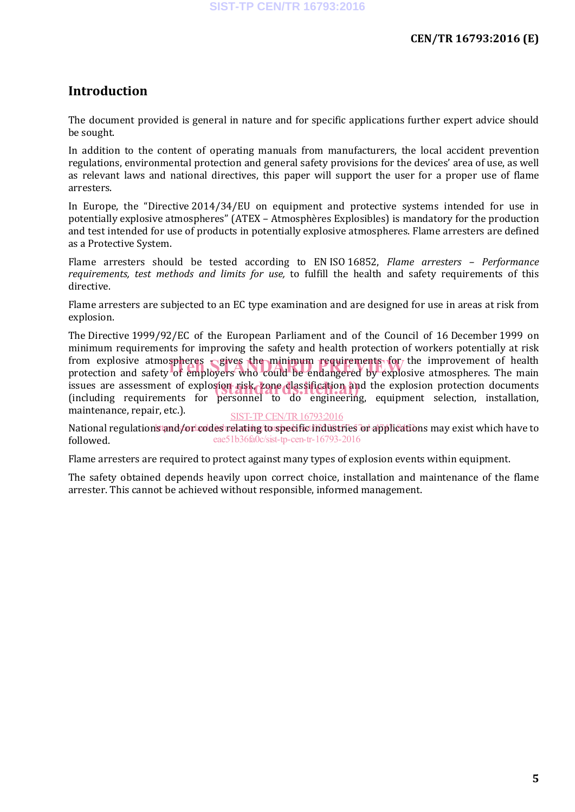## **Introduction**

The document provided is general in nature and for specific applications further expert advice should be sought.

In addition to the content of operating manuals from manufacturers, the local accident prevention regulations, environmental protection and general safety provisions for the devices' area of use, as well as relevant laws and national directives, this paper will support the user for a proper use of flame arresters.

In Europe, the "Directive 2014/34/EU on equipment and protective systems intended for use in potentially explosive atmospheres" (ATEX – Atmosphères Explosibles) is mandatory for the production and test intended for use of products in potentially explosive atmospheres. Flame arresters are defined as a Protective System.

Flame arresters should be tested according to EN ISO 16852, *Flame arresters – Performance requirements, test methods and limits for use,* to fulfill the health and safety requirements of this directive.

Flame arresters are subjected to an EC type examination and are designed for use in areas at risk from explosion.

The Directive 1999/92/EC of the European Parliament and of the Council of 16 December 1999 on minimum requirements for improving the safety and health protection of workers potentially at risk from explosive atmospheres  $\sim$  gives the minimum requirements for the improvement of health from explosive atmospheres sures the minimum requirements for the improvement of health<br>protection and safety of employers who could be endangered by explosive atmospheres. The main issues are assessment of explosion risk, zone classification and the explosion protection documents (including requirements for personnel to do engineering equipment selection installation (including requirements for personnel to do engineering, equipment selection, installation, maintenance, repair, etc.). SIST-TP CEN/TR 16793:2016

National regulations and /or codes relating to specific industries or applications may exist which have to followed. eae51b36fa0c/sist-tp-cen-tr-16793-2016

Flame arresters are required to protect against many types of explosion events within equipment.

The safety obtained depends heavily upon correct choice, installation and maintenance of the flame arrester. This cannot be achieved without responsible, informed management.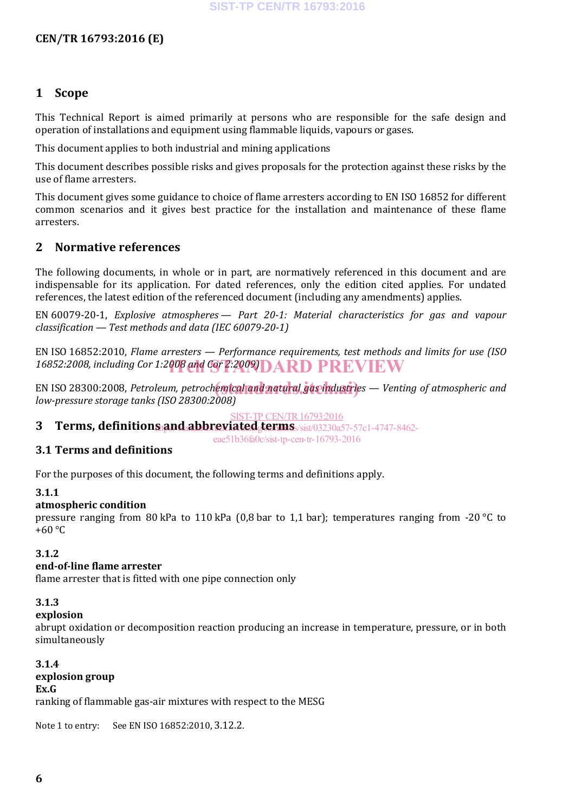## **1 Scope**

This Technical Report is aimed primarily at persons who are responsible for the safe design and operation of installations and equipment using flammable liquids, vapours or gases.

This document applies to both industrial and mining applications

This document describes possible risks and gives proposals for the protection against these risks by the use of flame arresters.

This document gives some guidance to choice of flame arresters according to EN ISO 16852 for different common scenarios and it gives best practice for the installation and maintenance of these flame arresters.

### **2 Normative references**

The following documents, in whole or in part, are normatively referenced in this document and are indispensable for its application. For dated references, only the edition cited applies. For undated references, the latest edition of the referenced document (including any amendments) applies.

EN 60079-20-1, *Explosive atmospheres — Part 20-1: Material characteristics for gas and vapour classification — Test methods and data (IEC 60079-20-1)*

EN ISO 16852:2010, *Flame arresters — Performance requirements, test methods and limits for use (ISO*  16852:2008, including Cor 1:2008 and Cor 2:2009 DARD PREVIEW

EN ISO 28300:2008, Petroleum, petrochemical and natural gas industries — Venting of atmospheric and<br>In the case west remarked a CCO 20200-2000. *low-pressure storage tanks (ISO 28300:2008)*

SIST-TP CEN/TR16793:2016

eae51b36fa0c/sist-tp-cen-tr-16793-2016

**3 Terms, definitions and abbreviated terms**s/sist/03230a57-57c1-4747-8462-

## **3.1 Terms and definitions**

For the purposes of this document, the following terms and definitions apply.

#### **3.1.1**

#### **atmospheric condition**

pressure ranging from 80 kPa to 110 kPa (0,8 bar to 1,1 bar); temperatures ranging from -20 °C to +60 $\degree$ C

#### **3.1.2**

#### **end-of-line flame arrester**

flame arrester that is fitted with one pipe connection only

#### **3.1.3**

#### **explosion**

abrupt oxidation or decomposition reaction producing an increase in temperature, pressure, or in both simultaneously

#### **3.1.4**

### **explosion group**

**Ex.G**

ranking of flammable gas-air mixtures with respect to the MESG

Note 1 to entry: See EN ISO 16852:2010, 3.12.2.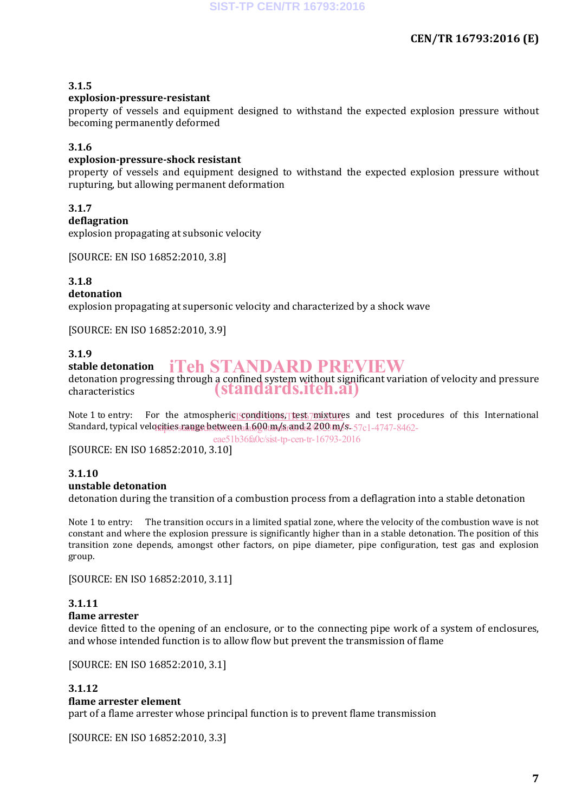#### **3.1.5**

#### **explosion-pressure-resistant**

property of vessels and equipment designed to withstand the expected explosion pressure without becoming permanently deformed

#### **3.1.6**

#### **explosion-pressure-shock resistant**

property of vessels and equipment designed to withstand the expected explosion pressure without rupturing, but allowing permanent deformation

#### **3.1.7**

#### **deflagration**

explosion propagating at subsonic velocity

[SOURCE: EN ISO 16852:2010, 3.8]

#### **3.1.8**

**detonation**

explosion propagating at supersonic velocity and characterized by a shock wave

[SOURCE: EN ISO 16852:2010, 3.9]

#### **3.1.9**

#### **stable detonation** iTeh STANDARD PREVIEW

detonation progressing through a confined system without significant variation of velocity and pressure characteristics (standards.iteh.ai)

Note 1 to entry: For the atmospheri<u>c conditions, test mixtur</u>es and test procedures of this International Standard, typical velo<u>cities range between 1.600 m/s and 2</u> 200 m/s - 57c1-4747-8462-

eae51b36fa0c/sist-tp-cen-tr-16793-2016

[SOURCE: EN ISO 16852:2010, 3.10]

## **3.1.10**

## **unstable detonation**

detonation during the transition of a combustion process from a deflagration into a stable detonation

Note 1 to entry: The transition occurs in a limited spatial zone, where the velocity of the combustion wave is not constant and where the explosion pressure is significantly higher than in a stable detonation. The position of this transition zone depends, amongst other factors, on pipe diameter, pipe configuration, test gas and explosion group.

[SOURCE: EN ISO 16852:2010, 3.11]

## **3.1.11**

#### **flame arrester**

device fitted to the opening of an enclosure, or to the connecting pipe work of a system of enclosures, and whose intended function is to allow flow but prevent the transmission of flame

[SOURCE: EN ISO 16852:2010, 3.1]

#### **3.1.12**

#### **flame arrester element**

part of a flame arrester whose principal function is to prevent flame transmission

[SOURCE: EN ISO 16852:2010, 3.3]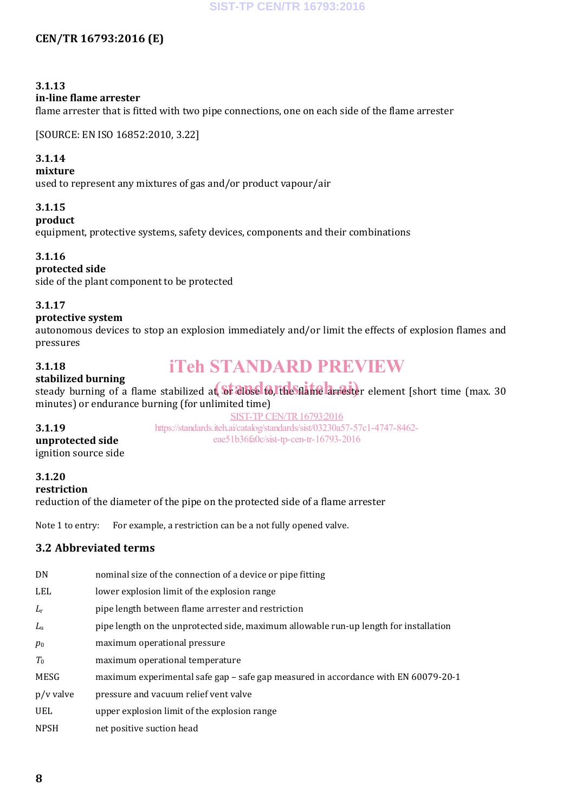#### **3.1.13**

#### **in-line flame arrester**

flame arrester that is fitted with two pipe connections, one on each side of the flame arrester

[SOURCE: EN ISO 16852:2010, 3.22]

#### **3.1.14**

#### **mixture**

used to represent any mixtures of gas and/or product vapour/air

#### **3.1.15**

**product**

equipment, protective systems, safety devices, components and their combinations

#### **3.1.16**

#### **protected side**

side of the plant component to be protected

#### **3.1.17**

#### **protective system**

autonomous devices to stop an explosion immediately and/or limit the effects of explosion flames and pressures

#### **3.1.18**

## iTeh STANDARD PREVIEW

### **stabilized burning**

stabilized burning<br>steady burning of a flame stabilized at, or close to, the flame arrester element [short time (max. 30 minutes) or endurance burning (for unlimited time)

#### **3.1.19**

SIST-TP CEN/TR16793:2016 https://standards.iteh.ai/catalog/standards/sist/03230a57-57c1-4747-8462 eae51b36fa0c/sist-tp-cen-tr-16793-2016

#### **unprotected side** ignition source side

#### **3.1.20**

**restriction**

reduction of the diameter of the pipe on the protected side of a flame arrester

Note 1 to entry: For example, a restriction can be a not fully opened valve.

#### **3.2 Abbreviated terms**

| DN          | nominal size of the connection of a device or pipe fitting                            |
|-------------|---------------------------------------------------------------------------------------|
| <b>LEL</b>  | lower explosion limit of the explosion range                                          |
| $L_{\rm r}$ | pipe length between flame arrester and restriction                                    |
| $L_{\rm u}$ | pipe length on the unprotected side, maximum allowable run-up length for installation |
| $p_0$       | maximum operational pressure                                                          |
| $T_0$       | maximum operational temperature                                                       |
| MESG        | maximum experimental safe gap – safe gap measured in accordance with EN 60079-20-1    |
| p/v valve   | pressure and vacuum relief vent valve                                                 |
| <b>UEL</b>  | upper explosion limit of the explosion range                                          |
| <b>NPSH</b> | net positive suction head                                                             |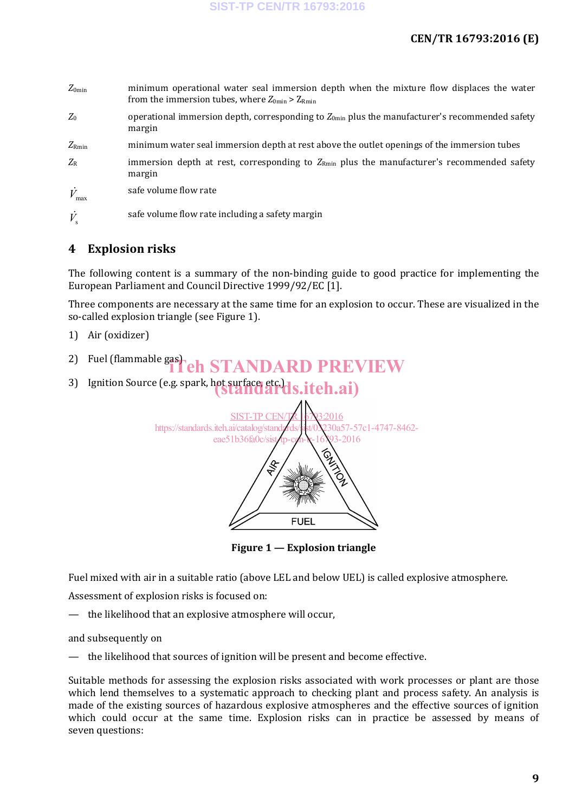| $Z_{0min}$          | minimum operational water seal immersion depth when the mixture flow displaces the water<br>from the immersion tubes, where $Z_{0min} > Z_{Rmin}$ |
|---------------------|---------------------------------------------------------------------------------------------------------------------------------------------------|
| $Z_0$               | operational immersion depth, corresponding to $Z_{0min}$ plus the manufacturer's recommended safety<br>margin                                     |
| $Z_{\text{Rmin}}$   | minimum water seal immersion depth at rest above the outlet openings of the immersion tubes                                                       |
| $Z_{\rm R}$         | immersion depth at rest, corresponding to $Z_{Rmin}$ plus the manufacturer's recommended safety<br>margin                                         |
| $\dot{V}_{\rm max}$ | safe volume flow rate                                                                                                                             |
| $\dot{V}$           | safe volume flow rate including a safety margin                                                                                                   |

## **4 Explosion risks**

The following content is a summary of the non-binding guide to good practice for implementing the European Parliament and Council Directive 1999/92/EC [1].

Three components are necessary at the same time for an explosion to occur. These are visualized in the so-called explosion triangle (see Figure 1).

- 1) Air (oxidizer)
- 2) Fuel (flammable gas) **STANDARD PREVIEW**
- 3) Ignition Source (e.g. spark, hot surface, etc.) .iteh.ai)



**Figure 1 — Explosion triangle**

Fuel mixed with air in a suitable ratio (above LEL and below UEL) is called explosive atmosphere.

Assessment of explosion risks is focused on:

— the likelihood that an explosive atmosphere will occur,

and subsequently on

— the likelihood that sources of ignition will be present and become effective.

Suitable methods for assessing the explosion risks associated with work processes or plant are those which lend themselves to a systematic approach to checking plant and process safety. An analysis is made of the existing sources of hazardous explosive atmospheres and the effective sources of ignition which could occur at the same time. Explosion risks can in practice be assessed by means of seven questions: